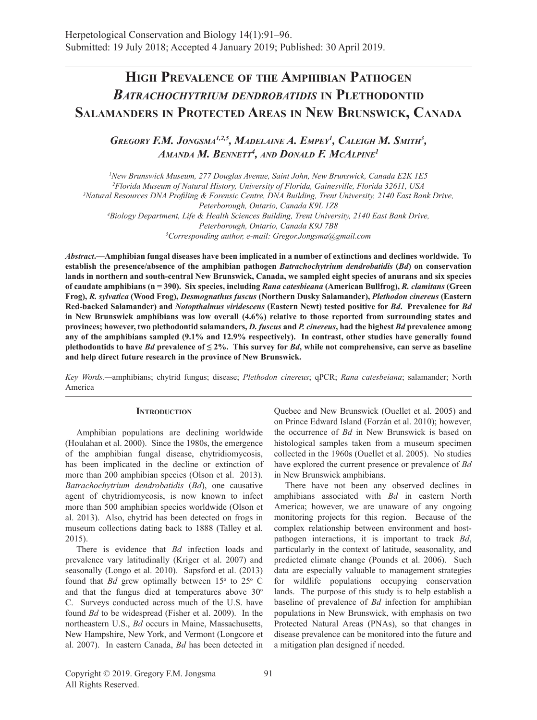# **High Prevalence of the Amphibian Pathogen** *Batrachochytrium dendrobatidis* **in Plethodontid Salamanders in Protected Areas in New Brunswick, Canada**

Gregory F.M. Jongsma<sup>1,2,5</sup>, Madelaine A. Empey<sup>1</sup>, Caleigh M. Smith<sup>3</sup>, *Amanda M. Bennett4 , and Donald F. McAlpine1*

*1 New Brunswick Museum, 277 Douglas Avenue, Saint John, New Brunswick, Canada E2K 1E5 2 Florida Museum of Natural History, University of Florida, Gainesville, Florida 32611, USA 3 Natural Resources DNA Profiling & Forensic Centre, DNA Building, Trent University, 2140 East Bank Drive, Peterborough, Ontario, Canada K9L 1Z8 4 Biology Department, Life & Health Sciences Building, Trent University, 2140 East Bank Drive, Peterborough, Ontario, Canada K9J 7B8 5 Corresponding author, e-mail: Gregor.Jongsma@gmail.com*

*Abstract***.—Amphibian fungal diseases have been implicated in a number of extinctions and declines worldwide. To establish the presence/absence of the amphibian pathogen** *Batrachochytrium dendrobatidis* **(***Bd***) on conservation lands in northern and south-central New Brunswick, Canada, we sampled eight species of anurans and six species of caudate amphibians (n = 390). Six species, including** *Rana catesbieana* **(American Bullfrog),** *R. clamitans* **(Green Frog),** *R. sylvatica* **(Wood Frog),** *Desmognathus fuscus* **(Northern Dusky Salamander),** *Plethodon cinereus* **(Eastern Red-backed Salamander) and** *Notopthalmus viridescens* **(Eastern Newt) tested positive for** *Bd***. Prevalence for** *Bd* **in New Brunswick amphibians was low overall (4.6%) relative to those reported from surrounding states and provinces; however, two plethodontid salamanders,** *D. fuscus* **and** *P. cinereus***, had the highest** *Bd* **prevalence among any of the amphibians sampled (9.1% and 12.9% respectively). In contrast, other studies have generally found plethodontids to have** *Bd* **prevalence of**  $\leq 2\%$ **. This survey for** *Bd***, while not comprehensive, can serve as baseline and help direct future research in the province of New Brunswick.**

*Key Words.—*amphibians; chytrid fungus; disease; *Plethodon cinereus*; qPCR; *Rana catesbeiana*; salamander; North America

#### **Introduction**

Amphibian populations are declining worldwide (Houlahan et al. 2000). Since the 1980s, the emergence of the amphibian fungal disease, chytridiomycosis, has been implicated in the decline or extinction of more than 200 amphibian species (Olson et al. 2013). *Batrachochytrium dendrobatidis* (*Bd*), one causative agent of chytridiomycosis, is now known to infect more than 500 amphibian species worldwide (Olson et al. 2013). Also, chytrid has been detected on frogs in museum collections dating back to 1888 (Talley et al. 2015).

There is evidence that *Bd* infection loads and prevalence vary latitudinally (Kriger et al. 2007) and seasonally (Longo et al. 2010). Sapsford et al. (2013) found that *Bd* grew optimally between  $15^{\circ}$  to  $25^{\circ}$  C and that the fungus died at temperatures above  $30^{\circ}$ C. Surveys conducted across much of the U.S. have found *Bd* to be widespread (Fisher et al. 2009). In the northeastern U.S., *Bd* occurs in Maine, Massachusetts, New Hampshire, New York, and Vermont (Longcore et al. 2007). In eastern Canada, *Bd* has been detected in

Quebec and New Brunswick (Ouellet et al. 2005) and on Prince Edward Island (Forzán et al. 2010); however, the occurrence of *Bd* in New Brunswick is based on histological samples taken from a museum specimen collected in the 1960s (Ouellet et al. 2005). No studies have explored the current presence or prevalence of *Bd* in New Brunswick amphibians.

There have not been any observed declines in amphibians associated with *Bd* in eastern North America; however, we are unaware of any ongoing monitoring projects for this region. Because of the complex relationship between environment and hostpathogen interactions, it is important to track *Bd*, particularly in the context of latitude, seasonality, and predicted climate change (Pounds et al. 2006). Such data are especially valuable to management strategies for wildlife populations occupying conservation lands. The purpose of this study is to help establish a baseline of prevalence of *Bd* infection for amphibian populations in New Brunswick, with emphasis on two Protected Natural Areas (PNAs), so that changes in disease prevalence can be monitored into the future and a mitigation plan designed if needed.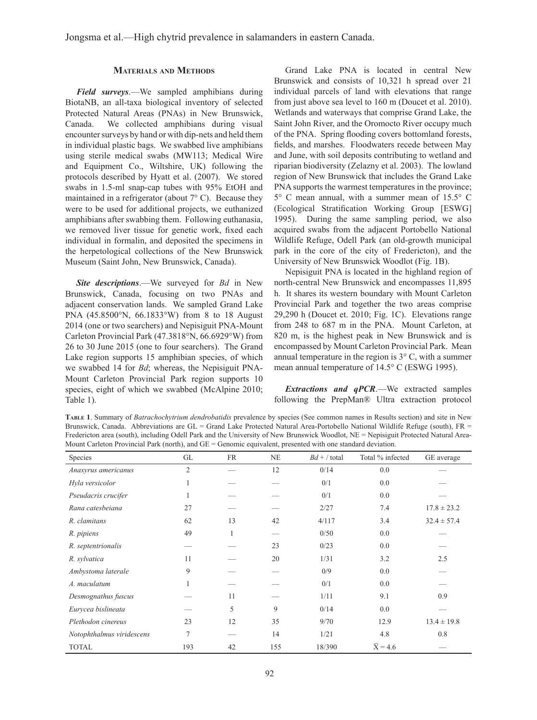### **Materials and Methods**

*Field surveys*.—We sampled amphibians during BiotaNB, an all-taxa biological inventory of selected Protected Natural Areas (PNAs) in New Brunswick, Canada. We collected amphibians during visual encounter surveys by hand or with dip-nets and held them in individual plastic bags. We swabbed live amphibians using sterile medical swabs (MW113; Medical Wire and Equipment Co., Wiltshire, UK) following the protocols described by Hyatt et al. (2007). We stored swabs in 1.5-ml snap-cap tubes with 95% EtOH and maintained in a refrigerator (about 7° C). Because they were to be used for additional projects, we euthanized amphibians after swabbing them. Following euthanasia, we removed liver tissue for genetic work, fixed each individual in formalin, and deposited the specimens in the herpetological collections of the New Brunswick Museum (Saint John, New Brunswick, Canada).

*Site descriptions*.—We surveyed for *Bd* in New Brunswick, Canada, focusing on two PNAs and adjacent conservation lands. We sampled Grand Lake PNA (45.8500°N, 66.1833°W) from 8 to 18 August 2014 (one or two searchers) and Nepisiguit PNA-Mount Carleton Provincial Park (47.3818°N, 66.6929°W) from 26 to 30 June 2015 (one to four searchers). The Grand Lake region supports 15 amphibian species, of which we swabbed 14 for *Bd*; whereas, the Nepisiguit PNA-Mount Carleton Provincial Park region supports 10 species, eight of which we swabbed (McAlpine 2010; Table 1).

Grand Lake PNA is located in central New Brunswick and consists of 10,321 h spread over 21 individual parcels of land with elevations that range from just above sea level to 160 m (Doucet et al. 2010). Wetlands and waterways that comprise Grand Lake, the Saint John River, and the Oromocto River occupy much of the PNA. Spring flooding covers bottomland forests, fields, and marshes. Floodwaters recede between May and June, with soil deposits contributing to wetland and riparian biodiversity (Zelazny et al. 2003). The lowland region of New Brunswick that includes the Grand Lake PNA supports the warmest temperatures in the province; 5° C mean annual, with a summer mean of 15.5° C (Ecological Stratification Working Group [ESWG] 1995). During the same sampling period, we also acquired swabs from the adjacent Portobello National Wildlife Refuge, Odell Park (an old-growth municipal park in the core of the city of Fredericton), and the University of New Brunswick Woodlot (Fig. 1B).

Nepisiguit PNA is located in the highland region of north-central New Brunswick and encompasses 11,895 h. It shares its western boundary with Mount Carleton Provincial Park and together the two areas comprise 29,290 h (Doucet et. 2010; Fig. 1C). Elevations range from 248 to 687 m in the PNA. Mount Carleton, at 820 m, is the highest peak in New Brunswick and is encompassed by Mount Carleton Provincial Park. Mean annual temperature in the region is 3° C, with a summer mean annual temperature of 14.5° C (ESWG 1995).

*Extractions and qPCR*.—We extracted samples following the PrepMan® Ultra extraction protocol

**Table 1**. Summary of *Batrachochytrium dendrobatidis* prevalence by species (See common names in Results section) and site in New Brunswick, Canada. Abbreviations are GL = Grand Lake Protected Natural Area-Portobello National Wildlife Refuge (south), FR = Fredericton area (south), including Odell Park and the University of New Brunswick Woodlot, NE = Nepisiguit Protected Natural Area-Mount Carleton Provincial Park (north), and  $GE =$  Genomic equivalent, presented with one standard deviation.

| Species                   | GL             | <b>FR</b> | <b>NE</b> | $Bd + /$ total | Total % infected     | GE average      |
|---------------------------|----------------|-----------|-----------|----------------|----------------------|-----------------|
| Anaxyrus americanus       | $\overline{2}$ |           | 12        | 0/14           | 0.0                  |                 |
| Hyla versicolor           | 1              |           |           | 0/1            | 0.0                  |                 |
| Pseudacris crucifer       | 1              |           |           | 0/1            | 0.0                  |                 |
| Rana catesbeiana          | 27             |           |           | 2/27           | 7.4                  | $17.8 \pm 23.2$ |
| R. clamitans              | 62             | 13        | 42        | 4/117          | 3.4                  | $32.4 \pm 57.4$ |
| R. pipiens                | 49             | 1         | _         | 0/50           | 0.0                  |                 |
| R. septentrionalis        |                |           | 23        | 0/23           | 0.0                  |                 |
| R. sylvatica              | 11             |           | 20        | 1/31           | 3.2                  | 2.5             |
| Ambystoma laterale        | 9              |           |           | 0/9            | 0.0                  |                 |
| A. maculatum              | 1              |           |           | 0/1            | 0.0                  |                 |
| Desmognathus fuscus       |                | 11        |           | 1/11           | 9.1                  | 0.9             |
| Eurycea bislineata        |                | 5         | 9         | 0/14           | 0.0                  |                 |
| Plethodon cinereus        | 23             | 12        | 35        | 9/70           | 12.9                 | $13.4 \pm 19.8$ |
| Notophthalmus viridescens | 7              |           | 14        | 1/21           | 4.8                  | 0.8             |
| <b>TOTAL</b>              | 193            | 42        | 155       | 18/390         | $\overline{X}$ = 4.6 |                 |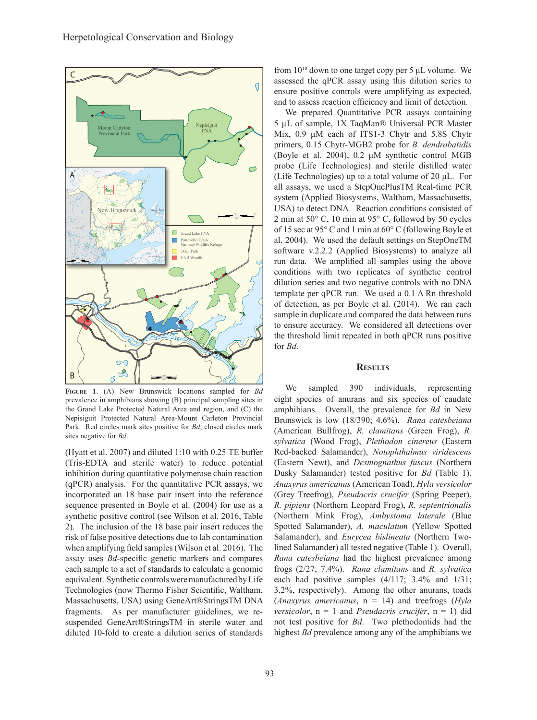

**Figure 1**. (A) New Brunswick locations sampled for *Bd* prevalence in amphibians showing (B) principal sampling sites in the Grand Lake Protected Natural Area and region, and (C) the Nepisiguit Protected Natural Area-Mount Carleton Provincial Park. Red circles mark sites positive for *Bd*, closed circles mark sites negative for *Bd*.

(Hyatt et al. 2007) and diluted 1:10 with 0.25 TE buffer (Tris-EDTA and sterile water) to reduce potential inhibition during quantitative polymerase chain reaction (qPCR) analysis. For the quantitative PCR assays, we incorporated an 18 base pair insert into the reference sequence presented in Boyle et al. (2004) for use as a synthetic positive control (see Wilson et al. 2016, Table 2). The inclusion of the 18 base pair insert reduces the risk of false positive detections due to lab contamination when amplifying field samples (Wilson et al. 2016). The assay uses *Bd*-specific genetic markers and compares each sample to a set of standards to calculate a genomic equivalent. Synthetic controls were manufactured by Life Technologies (now Thermo Fisher Scientific, Waltham, Massachusetts, USA) using GeneArt®StringsTM DNA fragments. As per manufacturer guidelines, we resuspended GeneArt®StringsTM in sterile water and diluted 10-fold to create a dilution series of standards

from  $10^{10}$  down to one target copy per 5  $\mu$ L volume. We assessed the qPCR assay using this dilution series to ensure positive controls were amplifying as expected, and to assess reaction efficiency and limit of detection.

We prepared Quantitative PCR assays containing 5 µL of sample, 1X TaqMan® Universal PCR Master Mix, 0.9 μM each of ITS1-3 Chytr and 5.8S Chytr primers, 0.15 Chytr-MGB2 probe for *B. dendrobatidis* (Boyle et al. 2004), 0.2 μM synthetic control MGB probe (Life Technologies) and sterile distilled water (Life Technologies) up to a total volume of 20 μL. For all assays, we used a StepOnePlusTM Real-time PCR system (Applied Biosystems, Waltham, Massachusetts, USA) to detect DNA. Reaction conditions consisted of 2 min at 50° C, 10 min at 95° C, followed by 50 cycles of 15 sec at 95° C and 1 min at 60° C (following Boyle et al. 2004). We used the default settings on StepOneTM software v.2.2.2 (Applied Biosystems) to analyze all run data. We amplified all samples using the above conditions with two replicates of synthetic control dilution series and two negative controls with no DNA template per qPCR run. We used a  $0.1 \Delta$  Rn threshold of detection, as per Boyle et al. (2014). We ran each sample in duplicate and compared the data between runs to ensure accuracy. We considered all detections over the threshold limit repeated in both qPCR runs positive for *Bd*.

#### **Results**

We sampled 390 individuals, representing eight species of anurans and six species of caudate amphibians. Overall, the prevalence for *Bd* in New Brunswick is low (18/390; 4.6%). *Rana catesbeiana*  (American Bullfrog), *R. clamitans* (Green Frog), *R. sylvatica* (Wood Frog), *Plethodon cinereus* (Eastern Red-backed Salamander), *Notophthalmus viridescens*  (Eastern Newt), and *Desmognathus fuscus* (Northern Dusky Salamander) tested positive for *Bd* (Table 1). *Anaxyrus americanus* (American Toad), *Hyla versicolor*  (Grey Treefrog), *Pseudacris crucifer* (Spring Peeper), *R. pipiens* (Northern Leopard Frog), *R. septentrionalis*  (Northern Mink Frog), *Ambystoma laterale* (Blue Spotted Salamander), *A. maculatum* (Yellow Spotted Salamander), and *Eurycea bislineata* (Northern Twolined Salamander) all tested negative (Table 1). Overall, *Rana catesbeiana* had the highest prevalence among frogs (2/27; 7.4%). *Rana clamitans* and *R. sylvatica* each had positive samples (4/117; 3.4% and 1/31; 3.2%, respectively). Among the other anurans, toads (*Anaxyrus americanus*, n = 14) and treefrogs (*Hyla versicolor*,  $n = 1$  and *Pseudacris crucifer*,  $n = 1$ ) did not test positive for *Bd*. Two plethodontids had the highest *Bd* prevalence among any of the amphibians we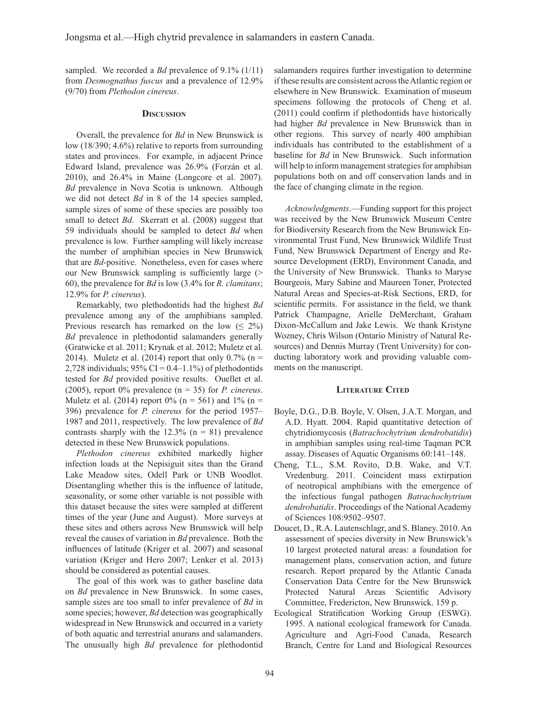sampled. We recorded a *Bd* prevalence of 9.1% (1/11) from *Desmognathus fuscus* and a prevalence of 12.9% (9/70) from *Plethodon cinereus*.

#### **Discussion**

Overall, the prevalence for *Bd* in New Brunswick is low (18/390; 4.6%) relative to reports from surrounding states and provinces. For example, in adjacent Prince Edward Island, prevalence was 26.9% (Forzán et al. 2010), and 26.4% in Maine (Longcore et al. 2007). *Bd* prevalence in Nova Scotia is unknown. Although we did not detect *Bd* in 8 of the 14 species sampled, sample sizes of some of these species are possibly too small to detect *Bd*. Skerratt et al. (2008) suggest that 59 individuals should be sampled to detect *Bd* when prevalence is low. Further sampling will likely increase the number of amphibian species in New Brunswick that are *Bd*-positive. Nonetheless, even for cases where our New Brunswick sampling is sufficiently large (> 60), the prevalence for *Bd* is low (3.4% for *R. clamitans*; 12.9% for *P. cinereus*).

Remarkably, two plethodontids had the highest *Bd* prevalence among any of the amphibians sampled. Previous research has remarked on the low  $( \leq 2\%)$ *Bd* prevalence in plethodontid salamanders generally (Gratwicke et al. 2011; Krynak et al. 2012; Muletz et al. 2014). Muletz et al. (2014) report that only  $0.7\%$  (n = 2,728 individuals;  $95\%$  CI = 0.4–1.1%) of plethodontids tested for *Bd* provided positive results. Ouellet et al. (2005), report 0% prevalence (n = 35) for *P. cinereus*. Muletz et al. (2014) report  $0\%$  (n = 561) and  $1\%$  (n = 396) prevalence for *P. cinereus* for the period 1957– 1987 and 2011, respectively. The low prevalence of *Bd* contrasts sharply with the  $12.3\%$  (n = 81) prevalence detected in these New Brunswick populations.

*Plethodon cinereus* exhibited markedly higher infection loads at the Nepisiguit sites than the Grand Lake Meadow sites, Odell Park or UNB Woodlot. Disentangling whether this is the influence of latitude, seasonality, or some other variable is not possible with this dataset because the sites were sampled at different times of the year (June and August). More surveys at these sites and others across New Brunswick will help reveal the causes of variation in *Bd* prevalence. Both the influences of latitude (Kriger et al. 2007) and seasonal variation (Kriger and Hero 2007; Lenker et al. 2013) should be considered as potential causes.

The goal of this work was to gather baseline data on *Bd* prevalence in New Brunswick. In some cases, sample sizes are too small to infer prevalence of *Bd* in some species; however, *Bd* detection was geographically widespread in New Brunswick and occurred in a variety of both aquatic and terrestrial anurans and salamanders. The unusually high *Bd* prevalence for plethodontid

salamanders requires further investigation to determine if these results are consistent across the Atlantic region or elsewhere in New Brunswick. Examination of museum specimens following the protocols of Cheng et al. (2011) could confirm if plethodontids have historically had higher *Bd* prevalence in New Brunswick than in other regions. This survey of nearly 400 amphibian individuals has contributed to the establishment of a baseline for *Bd* in New Brunswick. Such information will help to inform management strategies for amphibian populations both on and off conservation lands and in the face of changing climate in the region.

*Acknowledgments*.—Funding support for this project was received by the New Brunswick Museum Centre for Biodiversity Research from the New Brunswick Environmental Trust Fund, New Brunswick Wildlife Trust Fund, New Brunswick Department of Energy and Resource Development (ERD), Environment Canada, and the University of New Brunswick. Thanks to Maryse Bourgeois, Mary Sabine and Maureen Toner, Protected Natural Areas and Species-at-Risk Sections, ERD, for scientific permits. For assistance in the field, we thank Patrick Champagne, Arielle DeMerchant, Graham Dixon-McCallum and Jake Lewis. We thank Kristyne Wozney, Chris Wilson (Ontario Ministry of Natural Resources) and Dennis Murray (Trent University) for conducting laboratory work and providing valuable comments on the manuscript.

#### **Literature Cited**

- Boyle, D.G., D.B. Boyle, V. Olsen, J.A.T. Morgan, and A.D. Hyatt. 2004. Rapid quantitative detection of chytridiomycosis (*Batrachochytrium dendrobatidis*) in amphibian samples using real-time Taqman PCR assay. Diseases of Aquatic Organisms 60:141–148.
- Cheng, T.L., S.M. Rovito, D.B. Wake, and V.T. Vredenburg. 2011. Coincident mass extirpation of neotropical amphibians with the emergence of the infectious fungal pathogen *Batrachochytrium dendrobatidis*. Proceedings of the National Academy of Sciences 108:9502–9507.
- Doucet, D., R.A. Lautenschlagr, and S. Blaney. 2010. An assessment of species diversity in New Brunswick's 10 largest protected natural areas: a foundation for management plans, conservation action, and future research. Report prepared by the Atlantic Canada Conservation Data Centre for the New Brunswick Protected Natural Areas Scientific Advisory Committee, Fredericton, New Brunswick. 159 p.
- Ecological Stratification Working Group (ESWG). 1995. A national ecological framework for Canada. Agriculture and Agri-Food Canada, Research Branch, Centre for Land and Biological Resources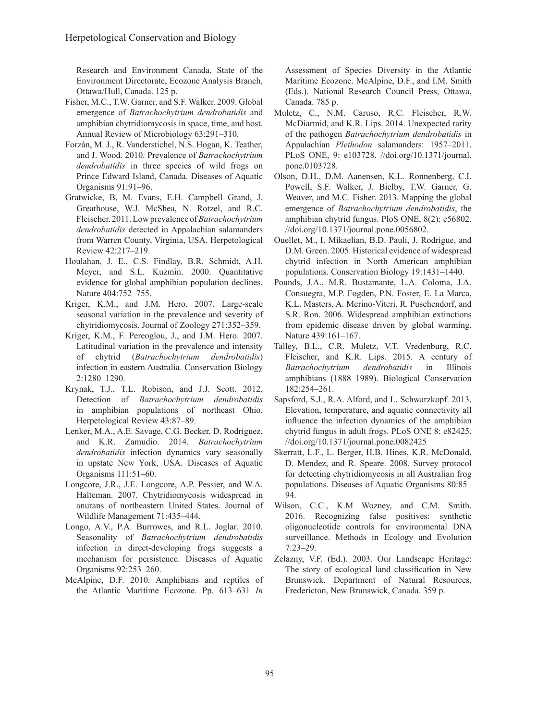Research and Environment Canada, State of the Environment Directorate, Ecozone Analysis Branch, Ottawa/Hull, Canada. 125 p.

- Fisher, M.C., T.W. Garner, and S.F. Walker. 2009. Global emergence of *Batrachochytrium dendrobatidis* and amphibian chytridiomycosis in space, time, and host. Annual Review of Microbiology 63:291–310.
- Forzán, M. J., R. Vanderstichel, N.S. Hogan, K. Teather, and J. Wood. 2010. Prevalence of *Batrachochytrium dendrobatidis* in three species of wild frogs on Prince Edward Island, Canada. Diseases of Aquatic Organisms 91:91–96.
- Gratwicke, B, M. Evans, E.H. Campbell Grand, J. Greathouse, W.J. McShea, N. Rotzel, and R.C. Fleischer. 2011. Low prevalence of *Batrachochytrium dendrobatidis* detected in Appalachian salamanders from Warren County, Virginia, USA. Herpetological Review 42:217–219.
- Houlahan, J. E., C.S. Findlay, B.R. Schmidt, A.H. Meyer, and S.L. Kuzmin. 2000. Quantitative evidence for global amphibian population declines. Nature 404:752–755.
- Kriger, K.M., and J.M. Hero. 2007. Large-scale seasonal variation in the prevalence and severity of chytridiomycosis. Journal of Zoology 271:352–359.
- Kriger, K.M., F. Pereoglou, J., and J.M. Hero. 2007. Latitudinal variation in the prevalence and intensity of chytrid (*Batrachochytrium dendrobatidis*) infection in eastern Australia. Conservation Biology 2:1280–1290.
- Krynak, T.J., T.L. Robison, and J.J. Scott. 2012. Detection of *Batrachochytrium dendrobatidis* in amphibian populations of northeast Ohio. Herpetological Review 43:87–89.
- Lenker, M.A., A.E. Savage, C.G. Becker, D. Rodriguez, and K.R. Zamudio. 2014. *Batrachochytrium dendrobatidis* infection dynamics vary seasonally in upstate New York, USA. Diseases of Aquatic Organisms 111:51–60.
- Longcore, J.R., J.E. Longcore, A.P. Pessier, and W.A. Halteman. 2007. Chytridiomycosis widespread in anurans of northeastern United States. Journal of Wildlife Management 71:435–444.
- Longo, A.V., P.A. Burrowes, and R.L. Joglar. 2010. Seasonality of *Batrachochytrium dendrobatidis* infection in direct-developing frogs suggests a mechanism for persistence. Diseases of Aquatic Organisms 92:253–260.
- McAlpine, D.F. 2010. Amphibians and reptiles of the Atlantic Maritime Ecozone. Pp. 613–631 *In*

Assessment of Species Diversity in the Atlantic Maritime Ecozone. McAlpine, D.F., and I.M. Smith (Eds.). National Research Council Press, Ottawa, Canada. 785 p.

- Muletz, C., N.M. Caruso, R.C. Fleischer, R.W. McDiarmid, and K.R. Lips. 2014. Unexpected rarity of the pathogen *Batrachochytrium dendrobatidis* in Appalachian *Plethodon* salamanders: 1957–2011. PLoS ONE, 9: e103728. //doi.org/10.1371/journal. pone.0103728.
- Olson, D.H., D.M. Aanensen, K.L. Ronnenberg, C.I. Powell, S.F. Walker, J. Bielby, T.W. Garner, G. Weaver, and M.C. Fisher. 2013. Mapping the global emergence of *Batrachochytrium dendrobatidis*, the amphibian chytrid fungus. PloS ONE, 8(2): e56802. //doi.org/10.1371/journal.pone.0056802.
- Ouellet, M., I. Mikaelian, B.D. Pauli, J. Rodrigue, and D.M. Green. 2005. Historical evidence of widespread chytrid infection in North American amphibian populations. Conservation Biology 19:1431–1440.
- Pounds, J.A., M.R. Bustamante, L.A. Coloma, J.A. Consuegra, M.P. Fogden, P.N. Foster, E. La Marca, K.L. Masters, A. Merino-Viteri, R. Puschendorf, and S.R. Ron. 2006. Widespread amphibian extinctions from epidemic disease driven by global warming. Nature 439:161–167.
- Talley, B.L., C.R. Muletz, V.T. Vredenburg, R.C. Fleischer, and K.R. Lips. 2015. A century of *Batrachochytrium dendrobatidis* in Illinois amphibians (1888–1989). Biological Conservation 182:254–261.
- Sapsford, S.J., R.A. Alford, and L. Schwarzkopf. 2013. Elevation, temperature, and aquatic connectivity all influence the infection dynamics of the amphibian chytrid fungus in adult frogs. PLoS ONE 8: e82425. //doi.org/10.1371/journal.pone.0082425
- Skerratt, L.F., L. Berger, H.B. Hines, K.R. McDonald, D. Mendez, and R. Speare. 2008. Survey protocol for detecting chytridiomycosis in all Australian frog populations. Diseases of Aquatic Organisms 80:85– 94.
- Wilson, C.C., K.M Wozney, and C.M. Smith. 2016. Recognizing false positives: synthetic oligonucleotide controls for environmental DNA surveillance. Methods in Ecology and Evolution 7:23–29.
- Zelazny, V.F. (Ed.). 2003. Our Landscape Heritage: The story of ecological land classification in New Brunswick. Department of Natural Resources, Fredericton, New Brunswick, Canada. 359 p.